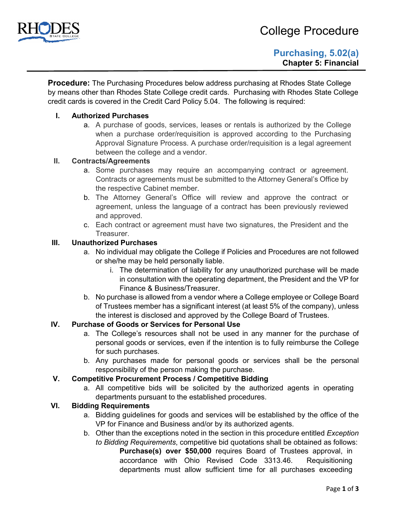

**Procedure:** The Purchasing Procedures below address purchasing at Rhodes State College by means other than Rhodes State College credit cards. Purchasing with Rhodes State College credit cards is covered in the Credit Card Policy 5.04. The following is required:

## **I. Authorized Purchases**

a. A purchase of goods, services, leases or rentals is authorized by the College when a purchase order/requisition is approved according to the Purchasing Approval Signature Process. A purchase order/requisition is a legal agreement between the college and a vendor.

### **II. Contracts/Agreements**

- a. Some purchases may require an accompanying contract or agreement. Contracts or agreements must be submitted to the Attorney General's Office by the respective Cabinet member.
- b. The Attorney General's Office will review and approve the contract or agreement, unless the language of a contract has been previously reviewed and approved.
- c. Each contract or agreement must have two signatures, the President and the **Treasurer**

### **III. Unauthorized Purchases**

- a. No individual may obligate the College if Policies and Procedures are not followed or she/he may be held personally liable.
	- i. The determination of liability for any unauthorized purchase will be made in consultation with the operating department, the President and the VP for Finance & Business/Treasurer.
- b. No purchase is allowed from a vendor where a College employee or College Board of Trustees member has a significant interest (at least 5% of the company), unless the interest is disclosed and approved by the College Board of Trustees.

## **IV. Purchase of Goods or Services for Personal Use**

- a. The College's resources shall not be used in any manner for the purchase of personal goods or services, even if the intention is to fully reimburse the College for such purchases.
- b. Any purchases made for personal goods or services shall be the personal responsibility of the person making the purchase.

## **V. Competitive Procurement Process / Competitive Bidding**

a. All competitive bids will be solicited by the authorized agents in operating departments pursuant to the established procedures.

#### **VI. Bidding Requirements**

- a. Bidding guidelines for goods and services will be established by the office of the VP for Finance and Business and/or by its authorized agents.
- b. Other than the exceptions noted in the section in this procedure entitled *Exception to Bidding Requirements*, competitive bid quotations shall be obtained as follows: **Purchase(s) over \$50,000** requires Board of Trustees approval, in accordance with Ohio Revised Code 3313.46. Requisitioning

departments must allow sufficient time for all purchases exceeding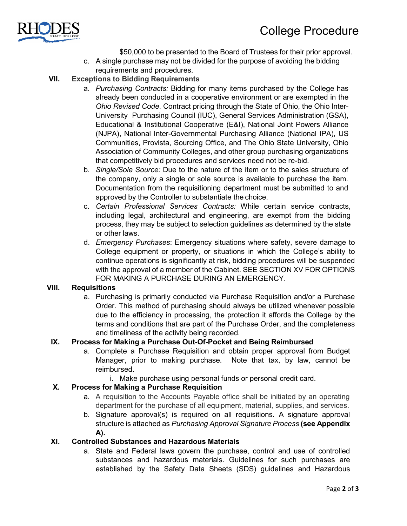

\$50,000 to be presented to the Board of Trustees for their prior approval.

c. A single purchase may not be divided for the purpose of avoiding the bidding requirements and procedures.

# **VII. Exceptions to Bidding Requirements**

- a. *Purchasing Contracts:* Bidding for many items purchased by the College has already been conducted in a cooperative environment or are exempted in the *Ohio Revised Code*. Contract pricing through the State of Ohio, the Ohio Inter-University Purchasing Council (IUC), General Services Administration (GSA), Educational & Institutional Cooperative (E&I), National Joint Powers Alliance (NJPA), National Inter-Governmental Purchasing Alliance (National IPA), US Communities, Provista, Sourcing Office, and The Ohio State University, Ohio Association of Community Colleges, and other group purchasing organizations that competitively bid procedures and services need not be re-bid.
- b. *Single/Sole Source:* Due to the nature of the item or to the sales structure of the company, only a single or sole source is available to purchase the item. Documentation from the requisitioning department must be submitted to and approved by the Controller to substantiate the choice.
- c. *Certain Professional Services Contracts:* While certain service contracts, including legal, architectural and engineering, are exempt from the bidding process, they may be subject to selection guidelines as determined by the state or other laws.
- d. *Emergency Purchases*: Emergency situations where safety, severe damage to College equipment or property, or situations in which the College's ability to continue operations is significantly at risk, bidding procedures will be suspended with the approval of a member of the Cabinet. SEE SECTION XV FOR OPTIONS FOR MAKING A PURCHASE DURING AN EMERGENCY.

# **VIII. Requisitions**

a. Purchasing is primarily conducted via Purchase Requisition and/or a Purchase Order. This method of purchasing should always be utilized whenever possible due to the efficiency in processing, the protection it affords the College by the terms and conditions that are part of the Purchase Order, and the completeness and timeliness of the activity being recorded.

# **IX. Process for Making a Purchase Out-Of-Pocket and Being Reimbursed**

- a. Complete a Purchase Requisition and obtain proper approval from Budget Manager, prior to making purchase. Note that tax, by law, cannot be reimbursed.
	- i. Make purchase using personal funds or personal credit card.

# **X. Process for Making a Purchase Requisition**

- a. A requisition to the Accounts Payable office shall be initiated by an operating department for the purchase of all equipment, material, supplies, and services.
- b. Signature approval(s) is required on all requisitions. A signature approval structure is attached as *Purchasing Approval Signature Process* **(see Appendix A).**

# **XI. Controlled Substances and Hazardous Materials**

a. State and Federal laws govern the purchase, control and use of controlled substances and hazardous materials. Guidelines for such purchases are established by the Safety Data Sheets (SDS) guidelines and Hazardous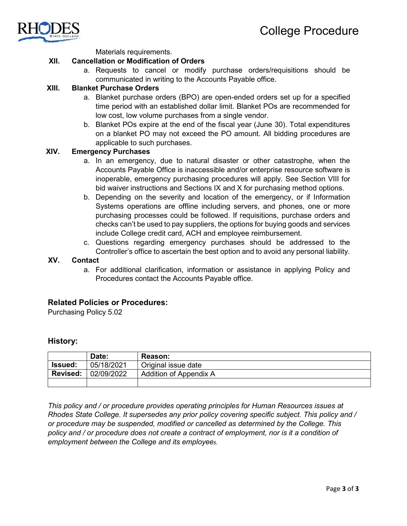

Materials requirements.

#### **XII. Cancellation or Modification of Orders**

a. Requests to cancel or modify purchase orders/requisitions should be communicated in writing to the Accounts Payable office.

## **XIII. Blanket Purchase Orders**

- a. Blanket purchase orders (BPO) are open-ended orders set up for a specified time period with an established dollar limit. Blanket POs are recommended for low cost, low volume purchases from a single vendor.
- b. Blanket POs expire at the end of the fiscal year (June 30). Total expenditures on a blanket PO may not exceed the PO amount. All bidding procedures are applicable to such purchases.

#### **XIV. Emergency Purchases**

- a. In an emergency, due to natural disaster or other catastrophe, when the Accounts Payable Office is inaccessible and/or enterprise resource software is inoperable, emergency purchasing procedures will apply. See Section VIII for bid waiver instructions and Sections IX and X for purchasing method options.
- b. Depending on the severity and location of the emergency, or if Information Systems operations are offline including servers, and phones, one or more purchasing processes could be followed. If requisitions, purchase orders and checks can't be used to pay suppliers, the options for buying goods and services include College credit card, ACH and employee reimbursement.
- c. Questions regarding emergency purchases should be addressed to the Controller's office to ascertain the best option and to avoid any personal liability.

## **XV. Contact**

a. For additional clarification, information or assistance in applying Policy and Procedures contact the Accounts Payable office.

#### **Related Policies or Procedures:**

Purchasing Policy 5.02

#### **History:**

|                 | Date:      | <b>Reason:</b>         |
|-----------------|------------|------------------------|
| <b>Issued:</b>  | 05/18/2021 | Original issue date    |
| <b>Revised:</b> | 02/09/2022 | Addition of Appendix A |
|                 |            |                        |

*This policy and / or procedure provides operating principles for Human Resources issues at Rhodes State College. It supersedes any prior policy covering specific subject. This policy and / or procedure may be suspended, modified or cancelled as determined by the College. This policy and / or procedure does not create a contract of employment, nor is it a condition of employment between the College and its employees.*